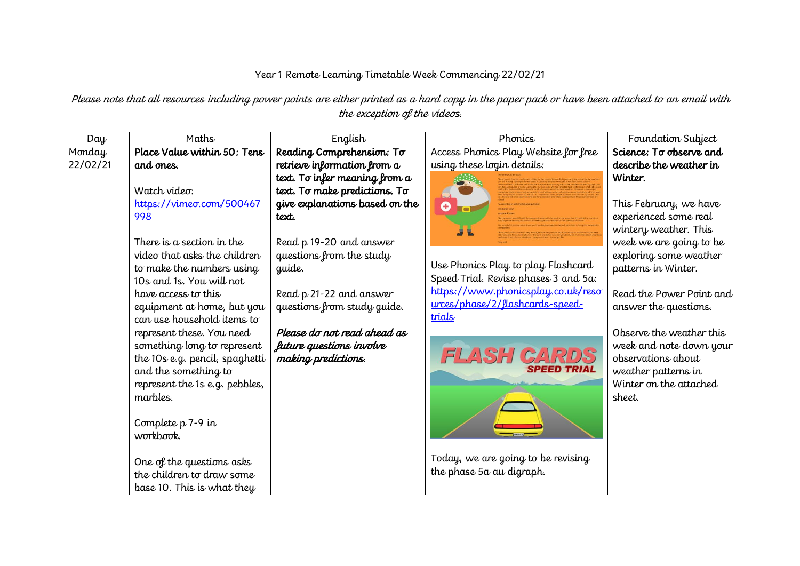## Year 1 Remote Learning Timetable Week Commencing 22/02/21

Please note that all resources including power points are either printed as a hard copy in the paper pack or have been attached to an email with the exception of the videos.

| Day      | Maths                          | English                        | Phonics                              | Foundation Subject       |
|----------|--------------------------------|--------------------------------|--------------------------------------|--------------------------|
| Monday   | Place Value within 50: Tens    | Reading Comprehension: To      | Access Phonics Play Website for free | Science: To observe and  |
| 22/02/21 | and ones.                      | retrieve information from a    | using these login details:           | describe the weather in  |
|          |                                | text. To infer meaning from a  |                                      | Winter.                  |
|          | Watch video:                   | text. To make predictions. To  |                                      |                          |
|          | https://vimeo.com/500467       | give explanations based on the | $\bullet$                            | This February, we have   |
|          | 998                            | text.                          |                                      | experienced some real    |
|          |                                |                                |                                      | wintery weather. This    |
|          | There is a section in the      | Read p 19-20 and answer        |                                      | week we are going to be  |
|          | video that asks the children   | questions from the study       |                                      | exploring some weather   |
|          | to make the numbers using      | guide.                         | Use Phonics Play to play Flashcard   | patterns in Winter.      |
|          | 10s and 1s. You will not       |                                | Speed Trial. Revise phases 3 and 5a: |                          |
|          | have access to this            | Read p 21-22 and answer        | https://www.phonicsplay.co.uk/reso   | Read the Power Point and |
|          | equipment at home, but you     | questions from study guide.    | urces/phase/2/flashcards-speed-      | answer the questions.    |
|          | can use household items to     |                                | trials                               |                          |
|          | represent these. You need      | Please do not read ahead as    |                                      | Observe the weather this |
|          | something long to represent    | future questions involve       |                                      | week and note down your  |
|          | the 10s e.g. pencil, spaghetti | making predictions.            | <b>FLASH CARDS</b>                   | observations about       |
|          | and the something to           |                                | <b>SPEED TRIAL</b>                   | weather patterns in      |
|          | represent the 1s e.g. pebbles, |                                |                                      | Winter on the attached   |
|          | marbles.                       |                                |                                      | sheet.                   |
|          |                                |                                |                                      |                          |
|          | Complete $p 7-9$ in            |                                |                                      |                          |
|          | workbook.                      |                                |                                      |                          |
|          |                                |                                |                                      |                          |
|          | One of the questions asks      |                                | Today, we are going to be revising   |                          |
|          | the children to draw some      |                                | the phase 5a au digraph.             |                          |
|          | base 10. This is what they     |                                |                                      |                          |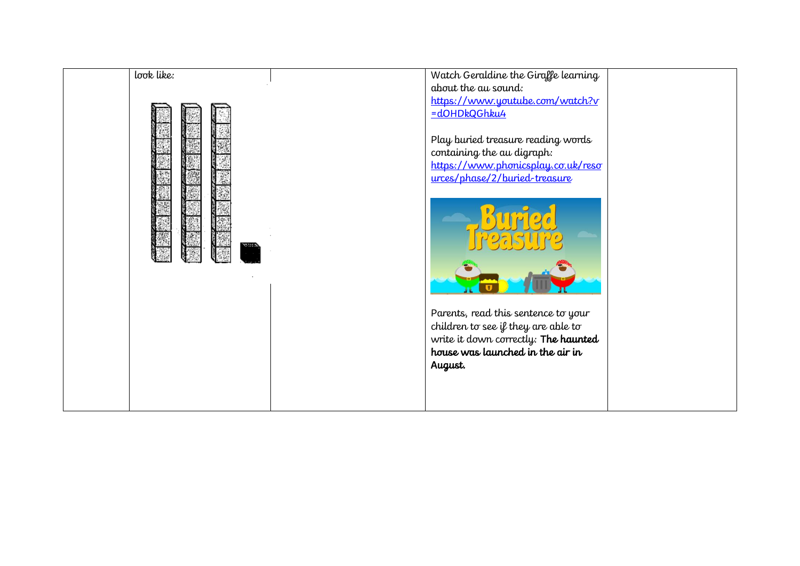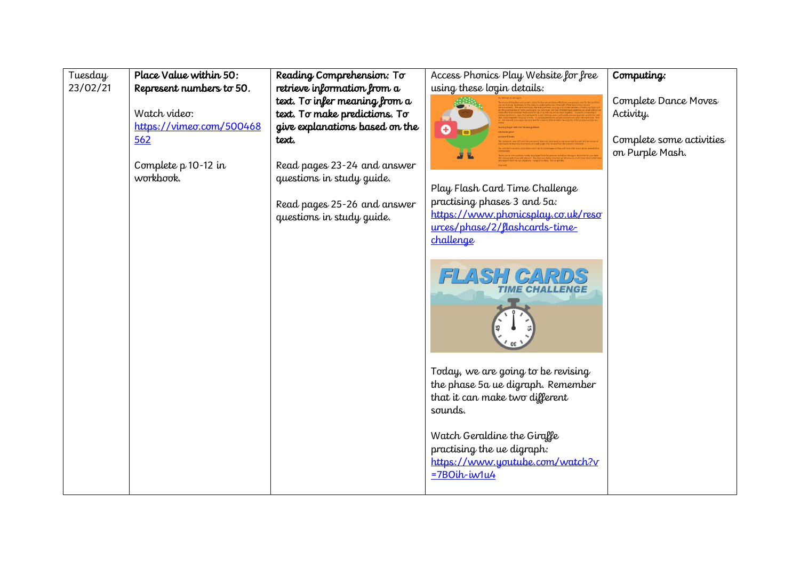| Tuesday  | Place Value within 50:   | Reading Comprehension: To      | Access Phonics Play Website for free                                                                                 | Computing:               |
|----------|--------------------------|--------------------------------|----------------------------------------------------------------------------------------------------------------------|--------------------------|
| 23/02/21 | Represent numbers to 50. | retrieve information from a    | using these login details:                                                                                           |                          |
|          |                          | text. To infer meaning from a  |                                                                                                                      | Complete Dance Moves     |
|          | Watch video:             | text. To make predictions. To  |                                                                                                                      | Activity.                |
|          | https://vimeo.com/500468 | give explanations based on the | O                                                                                                                    |                          |
|          | 562                      | text.                          |                                                                                                                      | Complete some activities |
|          |                          |                                |                                                                                                                      | on Purple Mash.          |
|          | Complete p 10-12 in      | Read pages 23-24 and answer    |                                                                                                                      |                          |
|          | workbook.                | questions in study guide.      |                                                                                                                      |                          |
|          |                          |                                | Play Flash Card Time Challenge<br>practising phases 3 and 5a:                                                        |                          |
|          |                          | Read pages 25-26 and answer    | https://www.phonicsplay.co.uk/reso                                                                                   |                          |
|          |                          | questions in study guide.      | urces/phase/2/flashcards-time-                                                                                       |                          |
|          |                          |                                | challenge                                                                                                            |                          |
|          |                          |                                |                                                                                                                      |                          |
|          |                          |                                | <b>FLASH GARDS</b><br><i><b>TIME CHALLENGE</b></i>                                                                   |                          |
|          |                          |                                | Today, we are going to be revising<br>the phase 5a ue digraph. Remember<br>that it can make two different<br>sounds. |                          |
|          |                          |                                | Watch Geraldine the Giraffe<br>practising the ue digraph:<br>https://www.youtube.com/watch?v<br>$=780$ ih-iw1u4      |                          |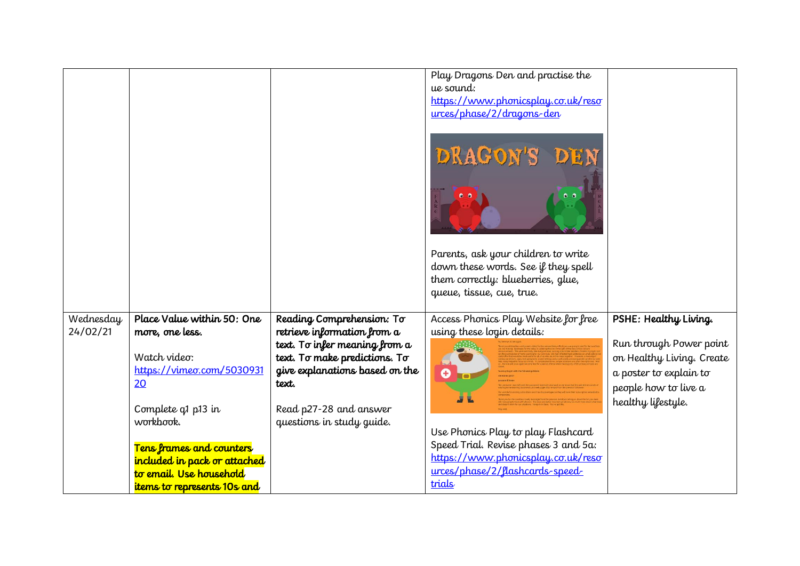|                       |                              |                                                          | Play Dragons Den and practise the<br>ue sound:<br>https://www.phonicsplay.co.uk/reso<br>urces/phase/2/dragons-den<br>DRAGON'S<br>DEN<br>Parents, ask your children to write<br>down these words. See if they spell<br>them correctly: blueberries, glue,<br>queue, tissue, cue, true. |                           |
|-----------------------|------------------------------|----------------------------------------------------------|---------------------------------------------------------------------------------------------------------------------------------------------------------------------------------------------------------------------------------------------------------------------------------------|---------------------------|
|                       | Place Value within 50: One   |                                                          |                                                                                                                                                                                                                                                                                       |                           |
| Wednesday<br>24/02/21 | more, one less.              | Reading Comprehension: To<br>retrieve information from a | Access Phonics Play Website for free<br>using these login details:                                                                                                                                                                                                                    | PSHE: Healthy Living.     |
|                       |                              | text. To infer meaning from a                            |                                                                                                                                                                                                                                                                                       | Run through Power point   |
|                       | Watch video:                 | text. To make predictions. To                            |                                                                                                                                                                                                                                                                                       | on Healthy Living. Create |
|                       | https://vimeo.com/5030931    | give explanations based on the                           | 0                                                                                                                                                                                                                                                                                     | a poster to explain to    |
|                       | 20                           | text.                                                    |                                                                                                                                                                                                                                                                                       | people how to live a      |
|                       | Complete q1 p13 in           | Read p27-28 and answer                                   |                                                                                                                                                                                                                                                                                       | healthy lifestyle.        |
|                       | workbook.                    | questions in study guide.                                |                                                                                                                                                                                                                                                                                       |                           |
|                       |                              |                                                          | Use Phonics Play to play Flashcard                                                                                                                                                                                                                                                    |                           |
|                       | Tens frames and counters     |                                                          | Speed Trial. Revise phases 3 and 5a:                                                                                                                                                                                                                                                  |                           |
|                       | included in pack or attached |                                                          | https://www.phonicsplay.co.uk/reso<br>urces/phase/2/llashcards-speed-                                                                                                                                                                                                                 |                           |
|                       | to email. Use household      |                                                          | trials                                                                                                                                                                                                                                                                                |                           |
|                       | items to represents 10s and  |                                                          |                                                                                                                                                                                                                                                                                       |                           |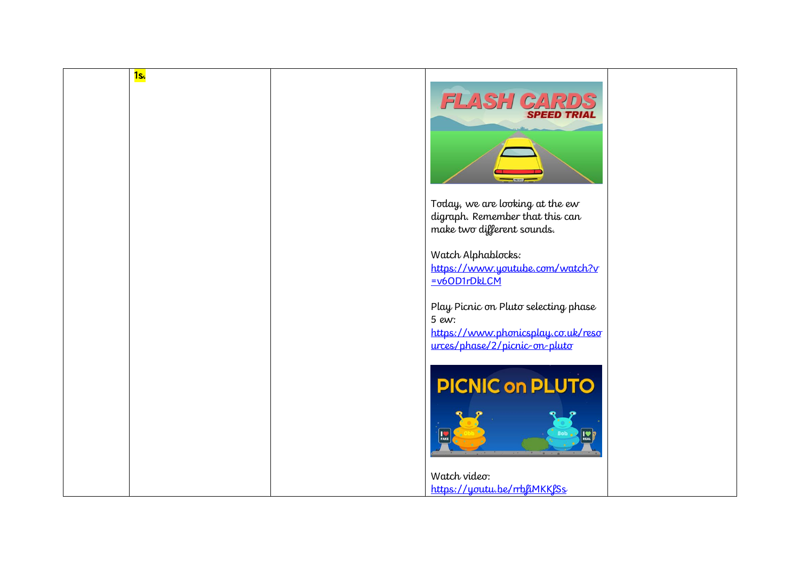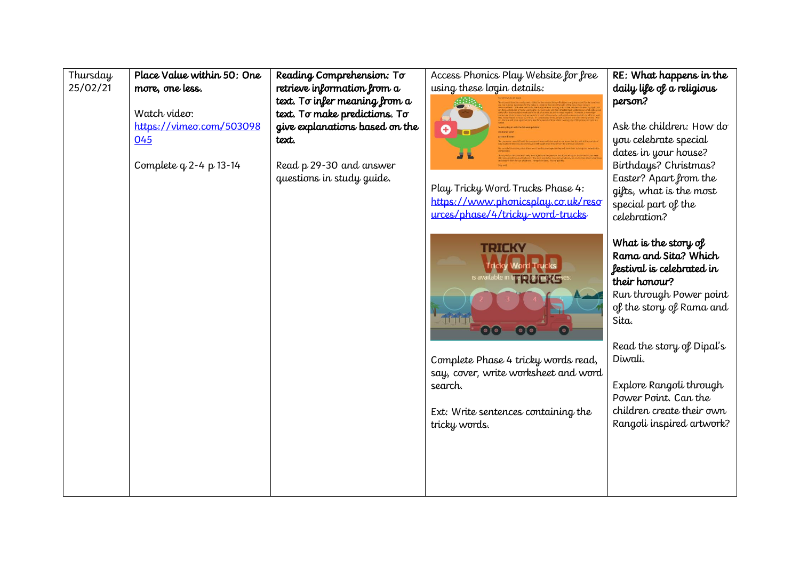| Thursday<br>25/02/21 | Place Value within 50: One<br>more, one less.<br>Watch video:<br>https://vimeo.com/503098<br>045<br>Complete $q$ 2-4 p 13-14 | Reading Comprehension: To<br>retrieve information from a<br>text. To infer meaning from a<br>text. To make predictions. To<br>give explanations based on the<br>text.<br>Read p 29-30 and answer<br>questions in study guide. | Access Phonics Play Website for free<br>using these login details:<br>Ô<br>Play Tricky Word Trucks Phase 4:<br>https://www.phonicsplay.co.uk/reso<br>urces/phase/4/tricky-word-trucks | RE: What happens in the<br>daily life of a religious<br>person?<br>Ask the children: How do<br>you celebrate special<br>dates in your house?<br>Birthdays? Christmas?<br>Easter? Apart from the<br>gifts, what is the most<br>special part of the<br>celebration?                                               |
|----------------------|------------------------------------------------------------------------------------------------------------------------------|-------------------------------------------------------------------------------------------------------------------------------------------------------------------------------------------------------------------------------|---------------------------------------------------------------------------------------------------------------------------------------------------------------------------------------|-----------------------------------------------------------------------------------------------------------------------------------------------------------------------------------------------------------------------------------------------------------------------------------------------------------------|
|                      |                                                                                                                              |                                                                                                                                                                                                                               | TRICK<br>tine to Lowing!<br>Complete Phase 4 tricky words read,<br>say, cover, write worksheet and word<br>search.<br>Ext: Write sentences containing the<br>tricky words.            | What is the story of<br>Rama and Sita? Which<br>festival is celebrated in<br>their honour?<br>Run through Power point<br>of the story of Rama and<br>Sita.<br>Read the story of Dipal's<br>Diwali.<br>Explore Rangoli through<br>Power Point. Can the<br>children create their own<br>Rangoli inspired artwork? |